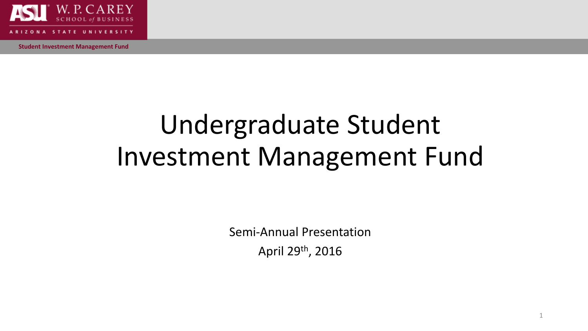

## Undergraduate Student Investment Management Fund

Semi-Annual Presentation April 29th, 2016

1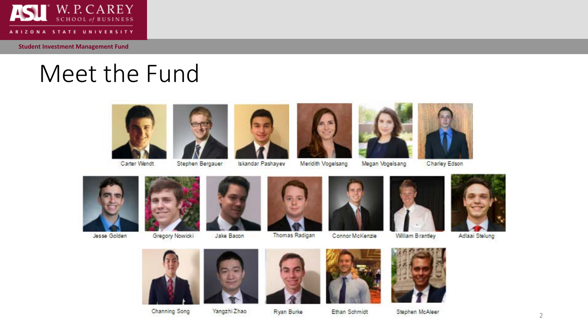![](_page_1_Picture_0.jpeg)

ARIZONA STATE UNIVERSITY

**Student Investment Management Fund**

## Meet the Fund

![](_page_1_Picture_4.jpeg)

Carter Wendt

![](_page_1_Picture_6.jpeg)

Stephen Bergauer

![](_page_1_Picture_7.jpeg)

Iskandar Pashayev

![](_page_1_Picture_9.jpeg)

Meridith Vogelsang Megan Vogelsang

![](_page_1_Picture_11.jpeg)

Charley Edson

![](_page_1_Picture_13.jpeg)

Jesse Golden

![](_page_1_Picture_15.jpeg)

Gregory Nowicki

![](_page_1_Picture_17.jpeg)

Jake Bacon

![](_page_1_Picture_19.jpeg)

Thomas Radigan

![](_page_1_Picture_21.jpeg)

Connor McKenzie

![](_page_1_Picture_23.jpeg)

William Brantley

![](_page_1_Picture_25.jpeg)

Adlaai Stelung

![](_page_1_Picture_27.jpeg)

![](_page_1_Picture_28.jpeg)

Yangzhi Zhao

![](_page_1_Picture_30.jpeg)

Ryan Burke

![](_page_1_Picture_31.jpeg)

Ethan Schmidt

![](_page_1_Picture_32.jpeg)

Stephen McAleer

![](_page_1_Picture_34.jpeg)

2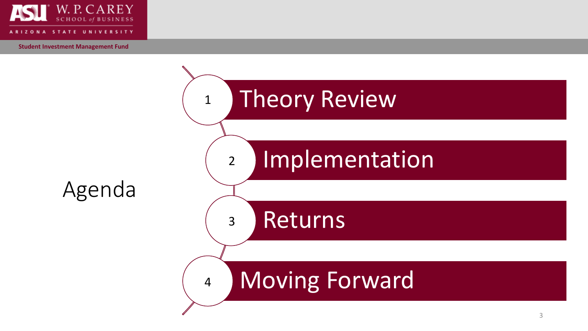![](_page_2_Picture_0.jpeg)

![](_page_2_Figure_3.jpeg)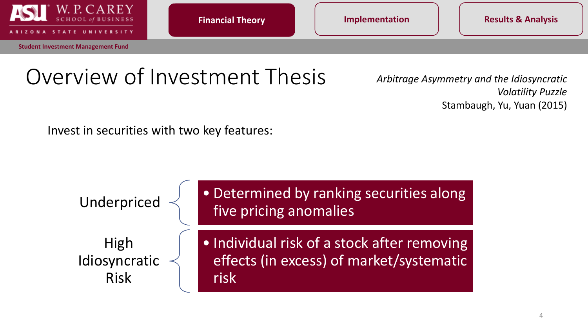![](_page_3_Picture_0.jpeg)

**Financial Theory Complementation** Theory **Results & Analysis** 

## Overview of Investment Thesis *Arbitrage Asymmetry and the Idiosyncratic*

*Volatility Puzzle* Stambaugh, Yu, Yuan (2015)

Invest in securities with two key features:

![](_page_3_Figure_9.jpeg)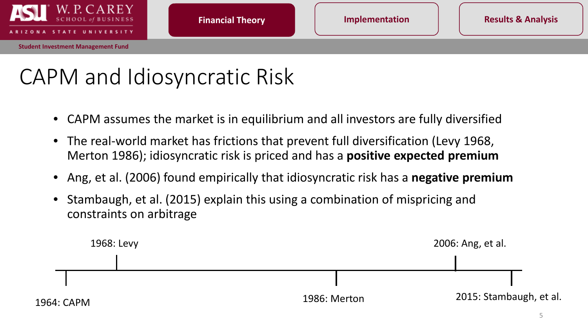![](_page_4_Picture_0.jpeg)

## CAPM and Idiosyncratic Risk

- CAPM assumes the market is in equilibrium and all investors are fully diversified
- The real-world market has frictions that prevent full diversification (Levy 1968, Merton 1986); idiosyncratic risk is priced and has a **positive expected premium**
- Ang, et al. (2006) found empirically that idiosyncratic risk has a **negative premium**
- Stambaugh, et al. (2015) explain this using a combination of mispricing and constraints on arbitrage

![](_page_4_Figure_10.jpeg)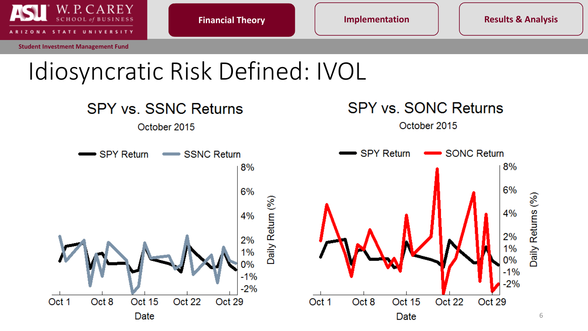![](_page_5_Picture_0.jpeg)

**Financial Theory**

**Financial Theory Implementation Results & Analysis**

## Idiosyncratic Risk Defined: IVOL

![](_page_5_Figure_7.jpeg)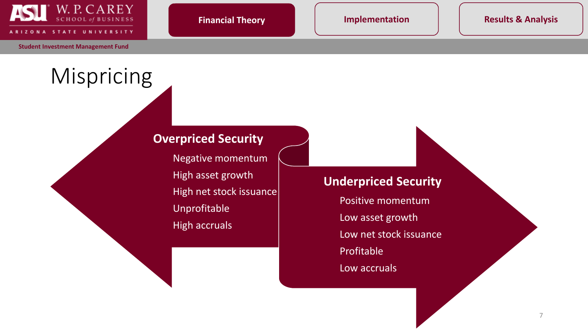![](_page_6_Picture_0.jpeg)

**VERSITY** 

**Student Investment Management Fund**

Mispricing

### **Overpriced Security**

Negative momentum High asset growth High net stock issuance Unprofitable High accruals

#### **Underpriced Security**

Positive momentum Low asset growth Low net stock issuance Profitable Low accruals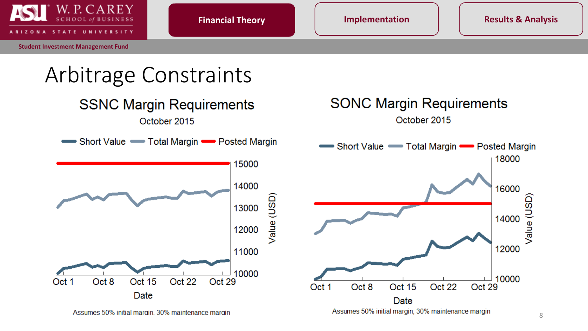![](_page_7_Picture_0.jpeg)

![](_page_7_Figure_6.jpeg)

Assumes 50% initial margin, 30% maintenance margin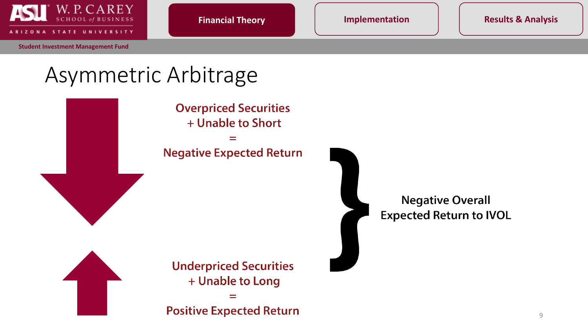![](_page_8_Picture_0.jpeg)

**Financial Theory Implementation Results & Analysis**

## Asymmetric Arbitrage

**Overpriced Securities** + Unable to Short **Negative Expected Return Underpriced Securities** + Unable to Long

**Positive Expected Return** 

**Negative Overall Expected Return to IVOL**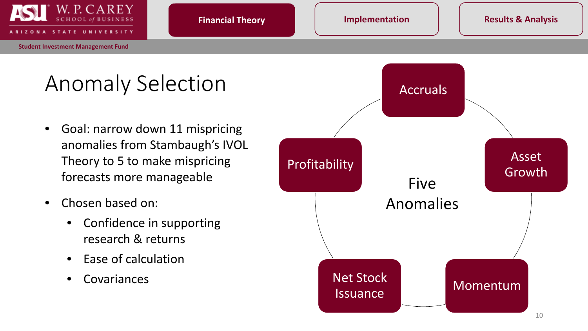![](_page_9_Picture_0.jpeg)

#### **Financial Theory**

## Anomaly Selection **Anomaly Selection**

- Goal: narrow down 11 mispricing anomalies from Stambaugh's IVOL Theory to 5 to make mispricing forecasts more manageable
- Chosen based on:
	- Confidence in supporting research & returns
	- Ease of calculation
	- Covariances

![](_page_9_Figure_12.jpeg)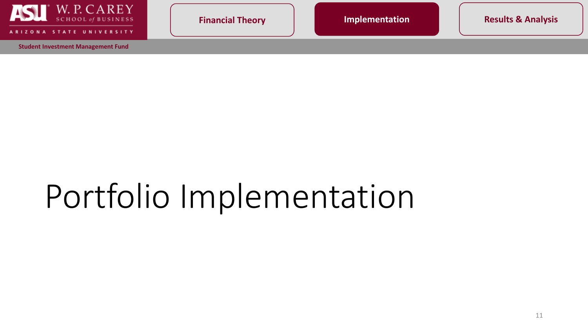![](_page_10_Picture_0.jpeg)

**IVERSITY** 

**Student Investment Management Fund**

**Financial Theory Implementation Results & Analysis** 

# Portfolio Implementation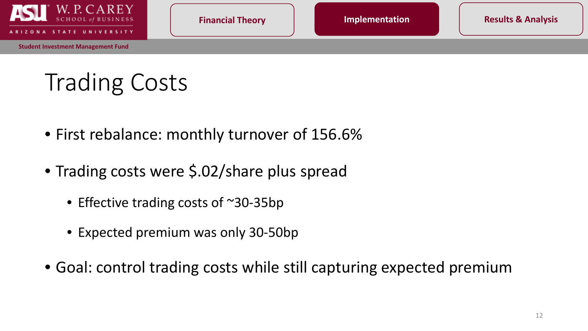![](_page_11_Picture_0.jpeg)

## Trading Costs

- First rebalance: monthly turnover of 156.6%
- Trading costs were \$.02/share plus spread
	- Effective trading costs of ~30-35bp
	- Expected premium was only 30-50bp
- Goal: control trading costs while still capturing expected premium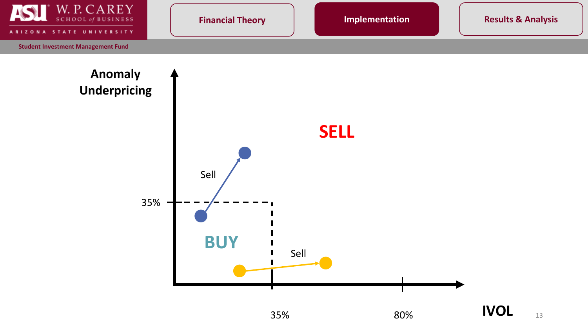![](_page_12_Figure_0.jpeg)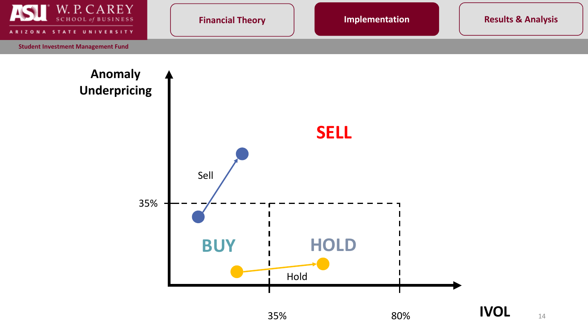![](_page_13_Figure_0.jpeg)

35% 80%

Hold

![](_page_13_Picture_3.jpeg)

**IVOL**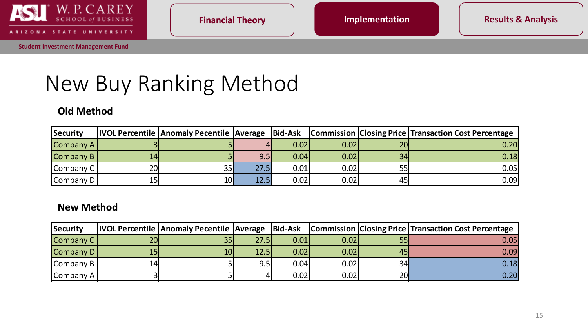![](_page_14_Picture_0.jpeg)

STATE **UNIVERSITY** A R I  $\circ$ **N** 

## New Buy Ranking Method

#### **Old Method**

| Security            |                 |    |      |      |      |     | <b>IVOL Percentile Anomaly Pecentile Average   Bid-Ask   Commission   Closing Price   Transaction Cost Percentage</b> |
|---------------------|-----------------|----|------|------|------|-----|-----------------------------------------------------------------------------------------------------------------------|
| $\lfloor$ Company A |                 |    |      | 0.02 | 0.02 | 20l | 0.20                                                                                                                  |
| $\lfloor$ Company B | 14              |    | 9.5  | 0.04 | 0.02 | 34  | 0.18                                                                                                                  |
| Company C           | 20 <sub>l</sub> | 35 | 27.5 | 0.01 | 0.02 | 55  | 0.05                                                                                                                  |
| Company D           | 15              | 10 | 12.5 | 0.02 | 0.02 | 45  | 0.09                                                                                                                  |

#### **New Method**

| Security            |                 | <b>IVOL Percentile Anomaly Pecentile Average Bid-Ask</b> |      |      |      |            | <b>Commission Closing Price Transaction Cost Percentage</b> |
|---------------------|-----------------|----------------------------------------------------------|------|------|------|------------|-------------------------------------------------------------|
| Company C           | 20 <sub>l</sub> | 35 <sub>l</sub>                                          | 27.5 | 0.01 | 0.02 | 55         | 0.05                                                        |
| Company $D$         | 15 <sub>1</sub> | 10l                                                      | 12.5 | 0.02 | 0.02 | 45         | 0.09                                                        |
| <b>Company B</b>    | 14              |                                                          | 9.5  | 0.04 | 0.02 | 34         | 0.18                                                        |
| $\lfloor$ Company A |                 |                                                          |      | 0.02 | 0.02 | <b>201</b> | 0.20                                                        |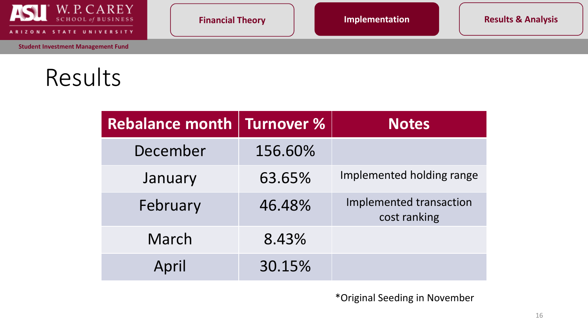![](_page_15_Picture_0.jpeg)

STATE UNIVERSITY **ARIZO NA** 

Results

| <b>Rebalance month</b> | Turnover % | <b>Notes</b>                            |  |
|------------------------|------------|-----------------------------------------|--|
| December               | 156.60%    |                                         |  |
| January                | 63.65%     | Implemented holding range               |  |
| February               | 46.48%     | Implemented transaction<br>cost ranking |  |
| March                  | 8.43%      |                                         |  |
| April                  | 30.15%     |                                         |  |

\*Original Seeding in November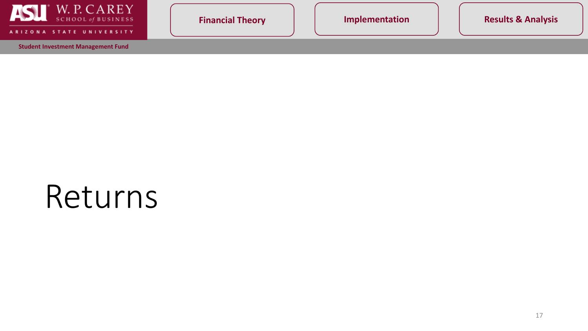![](_page_16_Picture_0.jpeg)

ARIZONA STATE UNIVERSITY

**Student Investment Management Fund**

**Financial Theory**  | | **Implementation** | | Results & Analysis

## Returns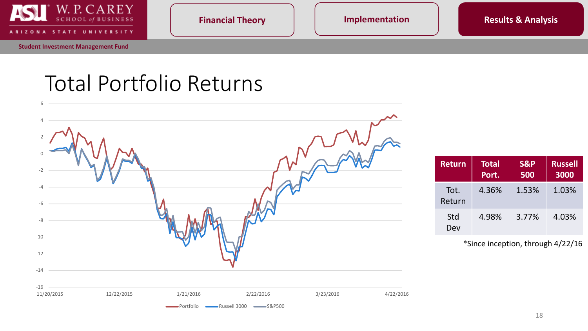![](_page_17_Picture_0.jpeg)

STATE UNIVERSITY

**Financial Theory Implementation Results & Analysis** 

## Total Portfolio Returns

![](_page_17_Figure_7.jpeg)

| <b>Return</b>  | <b>Total</b><br>Port. | <b>S&amp;P</b><br>500 | <b>Russell</b><br>3000 |
|----------------|-----------------------|-----------------------|------------------------|
| Tot.<br>Return | 4.36%                 | 1.53%                 | 1.03%                  |
| Std<br>Dev     | 4.98%                 | 3.77%                 | 4.03%                  |

<sup>\*</sup>Since inception, through 4/22/16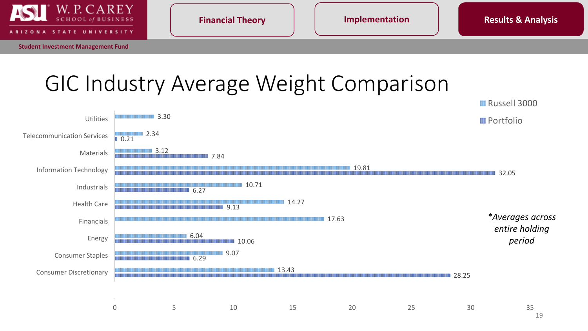![](_page_18_Picture_0.jpeg)

ATE u **NIVERSITY** 

### GIC Industry Average Weight Comparison

![](_page_18_Figure_7.jpeg)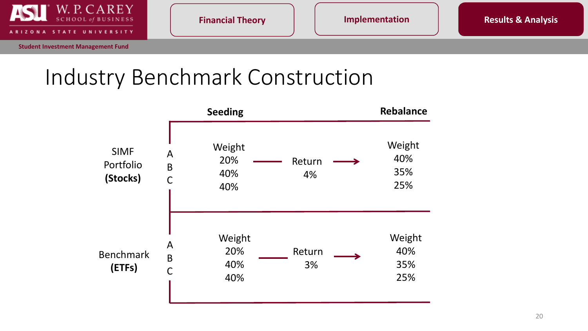![](_page_19_Picture_0.jpeg)

**IVERSITY** 

**Financial Theory Implementation Results & Analysis** 

## Industry Benchmark Construction

![](_page_19_Figure_7.jpeg)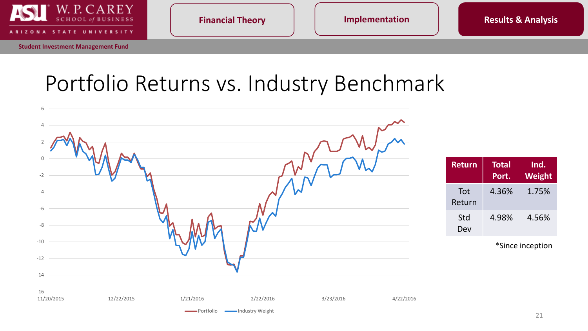![](_page_20_Picture_0.jpeg)

STATE UNIVERSITY

**Financial Theory Implementation Results & Analysis** 

## Portfolio Returns vs. Industry Benchmark

![](_page_20_Figure_7.jpeg)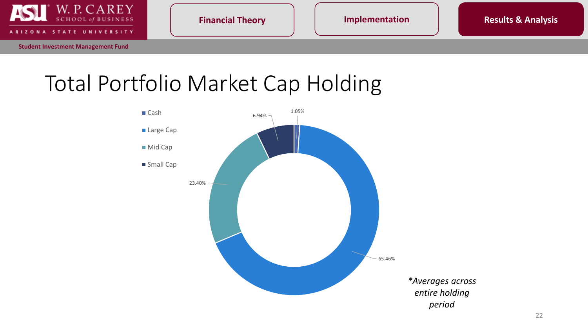![](_page_21_Picture_0.jpeg)

**ATE IVERSITY**  **Financial Theory Implementation Results & Analysis** 

## Total Portfolio Market Cap Holding

![](_page_21_Figure_7.jpeg)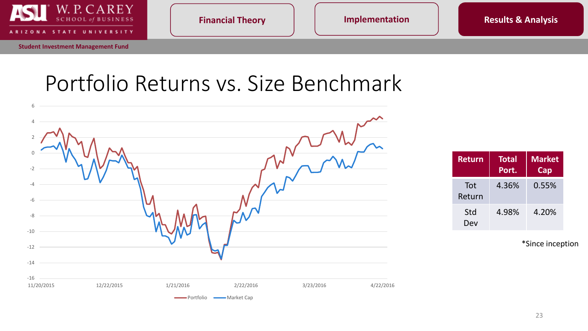![](_page_22_Picture_0.jpeg)

**UNIVERSITY** TATE

**Financial Theory Implementation Results & Analysis** 

### Portfolio Returns vs. Size Benchmark

![](_page_22_Figure_7.jpeg)

| <b>Return</b> | <b>Total</b><br>Port. | <b>Market</b><br>Cap |
|---------------|-----------------------|----------------------|
| Tot<br>Return | 4.36%                 | 0.55%                |
| Std<br>Dev    | 4.98%                 | 4.20%                |

\*Since inception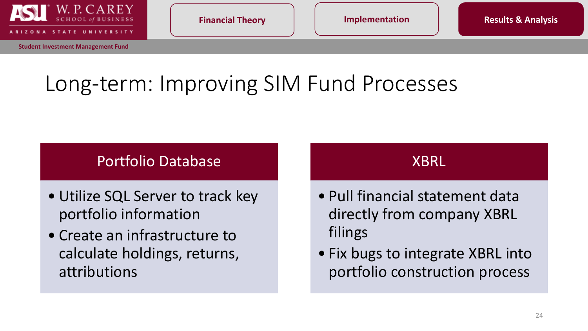![](_page_23_Picture_0.jpeg)

## Long-term: Improving SIM Fund Processes

### Portfolio Database

- Utilize SQL Server to track key portfolio information
- Create an infrastructure to calculate holdings, returns, attributions

### XBRL

- Pull financial statement data directly from company XBRL filings
- Fix bugs to integrate XBRL into portfolio construction process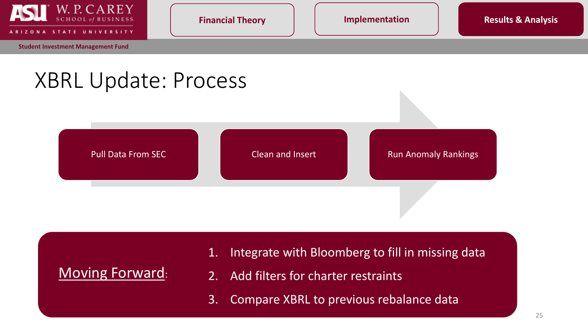![](_page_24_Picture_0.jpeg)

**Financial Theory Implementation Results & Analysis** 

### XBRL Update: Process

![](_page_24_Figure_7.jpeg)

### Moving Forward:

- 1. Integrate with Bloomberg to fill in missing data
- 2. Add filters for charter restraints
- 3. Compare XBRL to previous rebalance data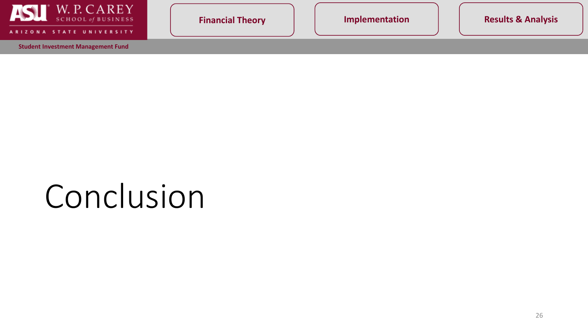![](_page_25_Picture_0.jpeg)

**UNIVERSITY ARI STATE** 

**Student Investment Management Fund**

**Financial Theory**  | | **Implementation** | | Results & Analysis

# Conclusion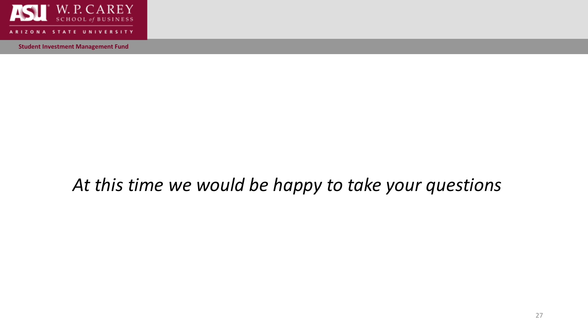![](_page_26_Picture_0.jpeg)

**IVERSITY** 

**Student Investment Management Fund**

### *At this time we would be happy to take your questions*